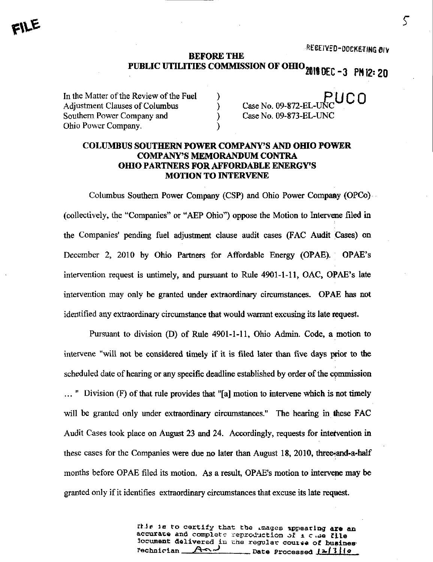REGEIVED-DOCKETING OIV

## BEFORE THE PUBLIC UTILITIES COMMISSION OF OHIO 2010 DEC - 3 PM 12: 20

In the Matter of the Review of the Fuel  $\overline{P}$  PUCO<br>Adjustment Clauses of Columbus  $\overline{P}$  Case No. 09-872-EL-UNC Adjustment Clauses of Columbus Southern Power Company and (Southern Power Company and ) Case No. 09-873-EL-UNC Ohio Power Company. )

## COLUMBUS SOUTHERN POWER COMPANY'S AND OHIO POWER COMPANY'S MEMORANDUM CONTRA OHIO PARTNERS FOR AFFORDABLE ENERGY'S **MOTION TO INTERVENE**

Columbus Southem Power Company (CSP) and Ohio Power Company (OPGo) (collectively, the  $\mathcal{L}$  -Companies the Motion to Intervene filed intervene filed intervene filed intervene filed intervene filed intervene filed intervene filed intervene filed intervene filed intervene filed interven  $\mathbf{r}$  ,  $\mathbf{r}$  and  $\mathbf{r}$  pending companies are comparison on  $\mathbf{r}$ December 2, 2010 by Ohio Partners for Affordable Energy (OPAE). OPAE's intervention request is untimely, and pursuant to Rule 4901-1-11, OAC, OPAE's late intervention may only be granted under extraordinary circumstances. OPAE has not identified any extraordinary circumstance that would warrant excusing its late request.

Pursuant to division (D) of Rule 4901-1-11, Ohio Admin. Code, a motion to intervene "will not be considered timely if it is filed later than five days prior to the scheduled date of hearing or any specific deadline established by order of the cpmmission  $\ldots$  " Division (F) of that rule provides that "[a] motion to intervene which is not timely will be granted only under extraordinary circumstances." The hearing in these FAC Audit Cases took place on August 23 and 24. Accordingly, requests for intervention in these cases for the Companies were due no later than August 18, 2010, three-and-a-half months before OPAE filed its motion. As a result, OPAE's motion to intervene may be granted only if it identifies extraordinary circumstances that excuse its late request.

> file is to certify that the images appearing are an accurate and complete reproduction of  $a$  c .se file 3ocument delivered in the regular course of business<br>Pechnician  $A \cap A$  pate Processed (2/3/0 .Date Processed <u>[2<sup>13</sup>|10</u>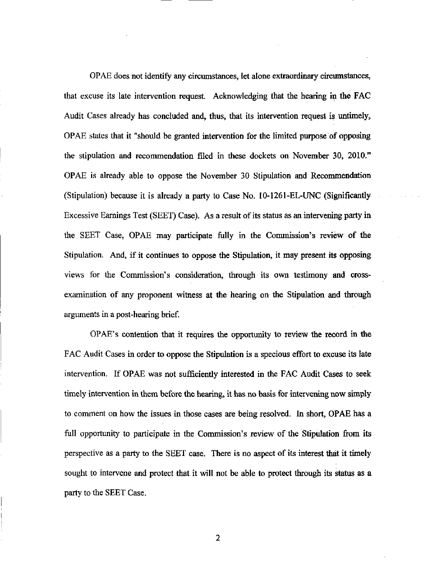OPAE does not identify any circumstances, let alone extraordinary circumstances, that excuse its late intervention request. Acknowledging that the hearing in the FAC Audit Cases already has concluded and, thus, that its intervention request is untimely, OPAE states that it "should be granted intervention for the limited purpose of opposing the stipulation and recommendation filed in these dockets on November 30, 2010." OPAE is already able to oppose the November 30 Stipulation and Recommendation (Stipulation) because it is already a party to Case No. 10-1261-EL-UNC (Significantly Excessive Earnings Test (SEET) Case). As a result of its status as an intervening party in the SEET Case, OPAE may participate fully in the Commission's review of the Stipulation, And, if it continues to oppose the Stipulation, it may present its opposing views for the Commission's consideration, through its own testimony and crossexamination of any proponent witness at the hearing on the Stipulation and through arguments in a post-hearing brief.

OPAE's contention that it requires the opportunity to review the record in the FAC Audit Cases in order to oppose the Stipulation is a specious effort to excuse its late intervention. If OPAE was not sufficiently interested in the FAC Audit Cases to seek timely intervention in them before the hearing, it has no basis for intervening now simply to comment on how the issues in those cases are being resolved. In short, OPAE has a full opportunity to participate in the Commission's review of the Stipulation from its perspective as a party to the SEET case. There is no aspect of its interest that it timely sought to intervene and protect that it will not be able to protect through its status as a party to the SEET Case.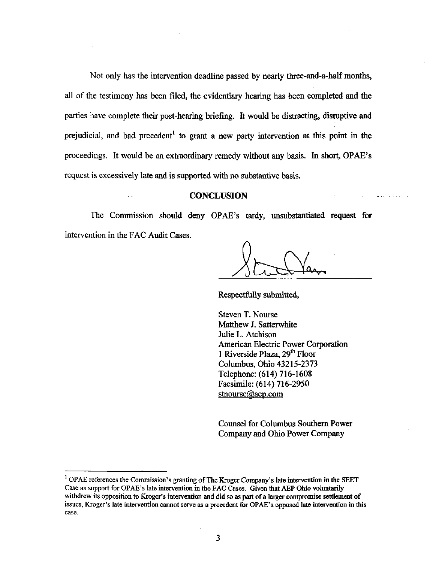Not only has the intervention deadline passed by nearly three-and-a-half months, all of the testimony has been filed, the evidentiary hearing has been completed and the parties have complete their post-hearing briefing. It would be distracting, disruptive and prejudicial, and bad precedent<sup>1</sup> to grant a new party intervention at this point in the proceedings. It would be an extraordinary remedy without any basis. In short, OPAE's request is excessively late and is supported with no substantive basis.

## **CONCLUSION**

The Commission should deny OPAE's tardy, unsubstantiated request for intervention in the FAC Audit Cases.

Respectfully submitted,

Steven T. Nourse Matthew J. Satterwhite Julie L. Atchison American Electric Power Corporation 1 Riverside Plaza, 29<sup>th</sup> Floor Columbus, Ohio 43215-2373 Telephone: (614) 716-1608 Facsimile: (614) 716-2950 stnourse@aep.com

Counsel for Columbus Southem Power Company and Ohio Power Company

 $^1$  OPAE references the Commission's granting of The Kroger Company's late intervention in the SEET Case as support for OPAE's late intervention in the FAC Cases. Given that AEP Ohio voluntarily withdrew its opposition to Kroger's intervention and did so as part of a larger compromise settlement of issues, Kroger's late intervention cannot serve as a precedent for OPAE's opposed late intervention in this case.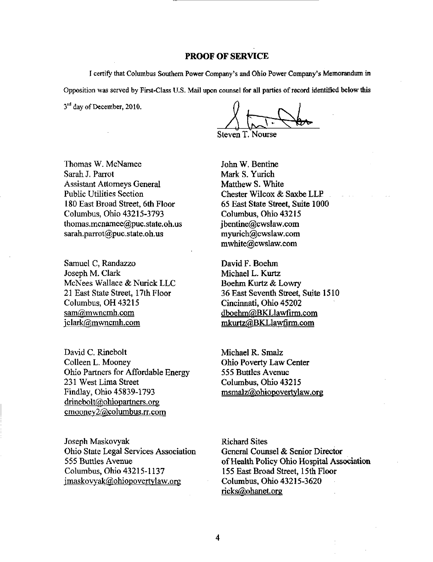## PROOF OF SERVICE

I certify that Columbus Southem Power Company's and Ohio Power Company's Memorandum in Opposition was served by First-Class U.S. Mail upon counsel for all parties of record identified below this

 $3<sup>rd</sup>$  day of December, 2010.

 $\lambda$   $\leftarrow$  ,  $\lambda$ 

Steven T. Nourse

Thomas W. McNamee Sarah J. Parrot Assistant Attorneys General Public Utilities Section 180 East Broad Street, 6th Floor Columbus, Ohio 43215-3793 [thomas.mcnamee@puc.state.oh.us](mailto:thomas.mcnamee@puc.state.oh.us)  [sarah.parrot@puc.state.oh.us](mailto:sarah.parrot@puc.state.oh.us) 

Samuel C, Randazzo Joseph M. Clark McNees Wallace & Nurick LLC 21 East State Street, 17th Floor Columbus, OH 43215 sam@mwncmh.com jclark@mwncmh.com

David C. Rinebolt Colleen L. Mooney Ohio Partners for Affordable Energy 231 West Lima Street Findlay, Ohio 45839-1793 drinebolt@ohiopartners.org [cmooney2@cQlumbus.rr.com](mailto:cmooney2@cQlumbus.rr.com) 

Joseph Maskovyak Ohio State Legal Services Association 555 Buttles Avenue Columbus, Ohio 43215-1137 [imaskovyak@ohiopovertvlaw.org](mailto:imaskovyak@ohiopovertvlaw.org) 

John W. Bentine Mark S. Yurich Matthew S. White Chester Wilcox & Saxbe LLP 65 East State Street, Suite 1000 Columbus, Ohio 43215 ibentine@cwslaw.com myurich@cv^law.com [mwhite@cwslaw.com](mailto:mwhite@cwslaw.com) 

David F. Boehm Michael L. Kurtz Boehm Kurtz & Lowry 36 East Seventh Street, Suite 1510 Cincinnati, Ohio 45202 [dboehm@BKLlawfirm.com](mailto:dboehm@BKLlawfirm.com)  [mkurtz@BKLlawfirm.com](mailto:mkurtz@BKLlawfirm.com) 

Michael R. Smalz Ohio Poverty Law Center 555 Buttles Avenue Columbus, Ohio 43215 [msmalz@ohiopovertvlaw.org](mailto:msmalz@ohiopovertvlaw.org) 

Richard Sites General Counsel & Senior Director of Health Policy Ohio Hospital Association 155 East Broad Street, 15th Floor Columbus, Ohio 43215-3620 [ricks@ohanet.org](mailto:ricks@ohanet.org)